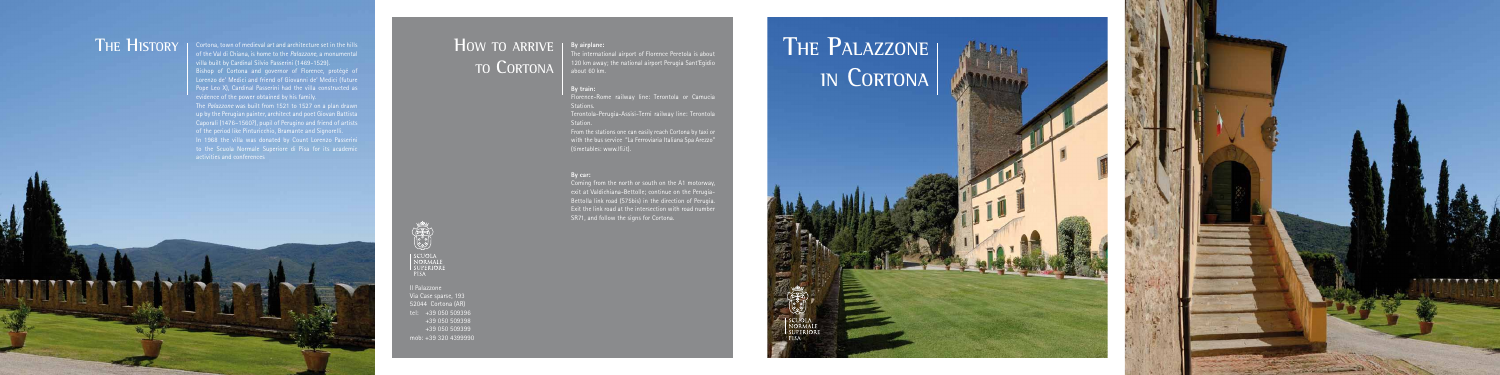Cortona, town of medieval art and architecture set in the hills THE HISTORY Sortona, town of medieval art and architecture set in the hills **HOW TO ARRIVE** villa built by Cardinal Silvio Passerini (1469-1529). Bishop of Cortona and governor of Florence, protégé of Lorenzo de' Medici and friend of Giovanni de' Medici (future Pope Leo X), Cardinal Passerini had the villa constructed as evidence of the power obtained by his family. The *Palazzone* was built from 1521 to 1527 on a plan drawn  $\frac{1}{2}$  up by the Perugian painter, architect and poet Giovan Battista Caporali (1476–1560?), pupil of Perugino and friend of artists of the period like Pinturicchio, Bramante and Signorelli. In 1968 the villa was donated by Count Lorenzo Passerini to the Scuola Normale Superiore di Pisa for its academic activities and conferences

Terontola-Perugia-Assisi-Terni railway line: Terontola Station.

Coming from the north or south on the A1 motorway, exit at Valdichiana-Bettolle; continue on the Perugia-Bettolla link road (S75bis) in the direction of Perugia. Exit the link road at the intersection with road number SR71, and follow the signs for Cortona.

# THE PALAZZONE | **in** C**ortona**



#### **By airplane:**

The international airport of Florence Peretola is about 120 km away; the national airport Perugia Sant'Egidio about 60 km.

### **By train:**

Florence-Rome railway line: Terontola or Camucia Stations.

From the stations one can easily reach Cortona by taxi or with the bus service "La Ferroviaria Italiana Spa Arezzo" (timetables: www.lfi.it).

### **By car:**

Il Palazzone Via Case sparse, 193 52044 Cortona (AR) tel: +39 050 509396 +39 050 509398 +39 050 509399 mob: +39 320 4399990

# **to Cortona**



| SCUOLA<br>| Normale<br>| Superiore PISA<sup>1</sup>